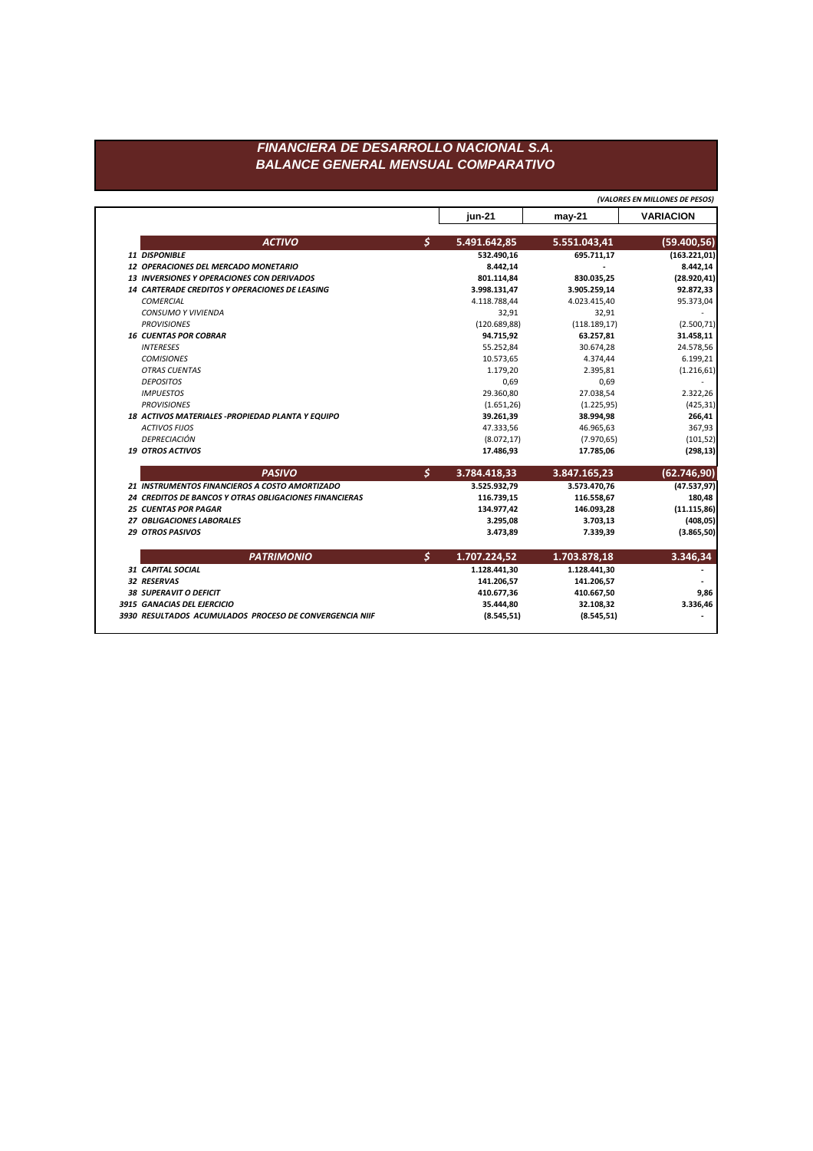|  |                                                        |                      | jun-21        | $may-21$      | <b>VARIACION</b> |
|--|--------------------------------------------------------|----------------------|---------------|---------------|------------------|
|  | <b>ACTIVO</b>                                          | \$                   | 5.491.642,85  | 5.551.043,41  | (59.400, 56)     |
|  | 11 DISPONIBLE                                          |                      | 532.490,16    | 695.711,17    | (163.221, 01)    |
|  | 12 OPERACIONES DEL MERCADO MONETARIO                   |                      | 8.442,14      |               | 8.442,14         |
|  | 13 INVERSIONES Y OPERACIONES CON DERIVADOS             |                      | 801.114,84    | 830.035,25    | (28.920, 41)     |
|  | 14 CARTERADE CREDITOS Y OPERACIONES DE LEASING         |                      | 3.998.131,47  | 3.905.259,14  | 92.872,33        |
|  | <b>COMERCIAL</b>                                       |                      | 4.118.788,44  | 4.023.415,40  | 95.373,04        |
|  | <b>CONSUMO Y VIVIENDA</b>                              |                      | 32,91         | 32,91         |                  |
|  | <b>PROVISIONES</b>                                     |                      | (120.689, 88) | (118.189, 17) | (2.500, 71)      |
|  | <b>16 CUENTAS POR COBRAR</b>                           |                      | 94.715,92     | 63.257,81     | 31.458,11        |
|  | <b>INTERESES</b>                                       |                      | 55.252,84     | 30.674,28     | 24.578,56        |
|  | <b>COMISIONES</b>                                      |                      | 10.573,65     | 4.374,44      | 6.199,21         |
|  | <b>OTRAS CUENTAS</b>                                   |                      | 1.179,20      | 2.395,81      | (1.216, 61)      |
|  | <b>DEPOSITOS</b>                                       |                      | 0,69          | 0,69          |                  |
|  | <b>IMPUESTOS</b>                                       |                      | 29.360,80     | 27.038,54     | 2.322,26         |
|  | <b>PROVISIONES</b>                                     |                      | (1.651, 26)   | (1.225, 95)   | (425, 31)        |
|  | 18 ACTIVOS MATERIALES - PROPIEDAD PLANTA Y EQUIPO      |                      | 39.261,39     | 38.994,98     | 266,41           |
|  | <b>ACTIVOS FIJOS</b>                                   |                      | 47.333,56     | 46.965,63     | 367,93           |
|  | DEPRECIACIÓN                                           |                      | (8.072, 17)   | (7.970, 65)   | (101, 52)        |
|  | <b>19 OTROS ACTIVOS</b>                                |                      | 17.486,93     | 17.785,06     | (298, 13)        |
|  | <b>PASIVO</b>                                          | $\boldsymbol{\zeta}$ | 3.784.418,33  | 3.847.165,23  | (62.746, 90)     |
|  | 21 INSTRUMENTOS FINANCIEROS A COSTO AMORTIZADO         |                      | 3.525.932,79  | 3.573.470,76  | (47.537, 97)     |
|  | 24 CREDITOS DE BANCOS Y OTRAS OBLIGACIONES FINANCIERAS |                      | 116.739,15    | 116.558,67    | 180,48           |
|  | <b>25 CUENTAS POR PAGAR</b>                            |                      | 134.977,42    | 146.093,28    | (11.115,86)      |
|  | 27 OBLIGACIONES LABORALES                              |                      | 3.295,08      | 3.703,13      | (408, 05)        |
|  | <b>29 OTROS PASIVOS</b>                                |                      | 3.473,89      | 7.339,39      | (3.865, 50)      |
|  | <b>PATRIMONIO</b>                                      | $\boldsymbol{\zeta}$ | 1.707.224,52  | 1.703.878,18  | 3.346,34         |
|  | <b>31 CAPITAL SOCIAL</b>                               |                      | 1.128.441,30  | 1.128.441,30  |                  |
|  | 32 RESERVAS                                            |                      | 141.206,57    | 141.206,57    |                  |
|  | <b>38 SUPERAVIT O DEFICIT</b>                          |                      | 410.677,36    | 410.667,50    | 9,86             |
|  | 3915 GANACIAS DEL EJERCICIO                            |                      | 35.444,80     | 32.108,32     | 3.336,46         |
|  |                                                        |                      |               |               |                  |

*(VALORES EN MILLONES DE PESOS)*

## *FINANCIERA DE DESARROLLO NACIONAL S.A. BALANCE GENERAL MENSUAL COMPARATIVO*